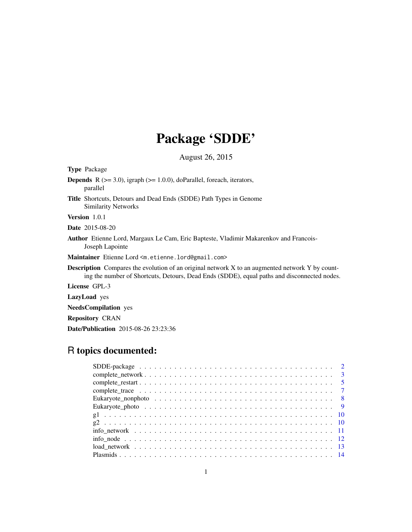# Package 'SDDE'

August 26, 2015

| <b>Type Package</b>                                                                                                                                                                                   |
|-------------------------------------------------------------------------------------------------------------------------------------------------------------------------------------------------------|
| <b>Depends</b> $R$ ( $>= 3.0$ ), igraph ( $>= 1.0.0$ ), doParallel, foreach, iterators,<br>parallel                                                                                                   |
| Title Shortcuts, Detours and Dead Ends (SDDE) Path Types in Genome<br><b>Similarity Networks</b>                                                                                                      |
| <b>Version</b> 1.0.1                                                                                                                                                                                  |
| <b>Date</b> 2015-08-20                                                                                                                                                                                |
| <b>Author</b> Etienne Lord, Margaux Le Cam, Eric Bapteste, Vladimir Makarenkov and Francois-<br>Joseph Lapointe                                                                                       |
| M <b>aintainer</b> Etienne Lord <m.etienne.lord@gmail.com></m.etienne.lord@gmail.com>                                                                                                                 |
| <b>Description</b> Compares the evolution of an original network X to an augmented network Y by count-<br>ing the number of Shortcuts, Detours, Dead Ends (SDDE), equal paths and disconnected nodes. |
| <b>License GPL-3</b>                                                                                                                                                                                  |
| LazyLoad yes                                                                                                                                                                                          |
| <b>NeedsCompilation</b> yes                                                                                                                                                                           |
|                                                                                                                                                                                                       |

Repository CRAN

Date/Publication 2015-08-26 23:23:36

# R topics documented: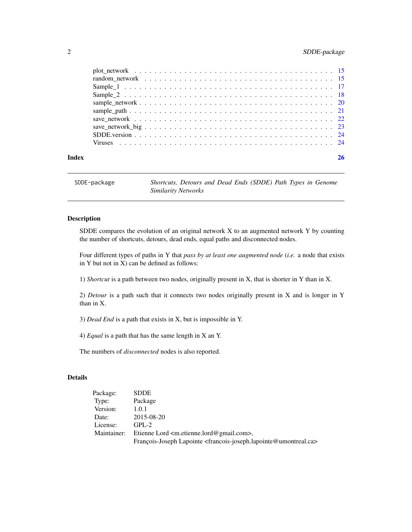# <span id="page-1-0"></span>2 SDDE-package

| Index |  |
|-------|--|
|       |  |
|       |  |
|       |  |
|       |  |
|       |  |
|       |  |
|       |  |
|       |  |
|       |  |
|       |  |

SDDE-package *Shortcuts, Detours and Dead Ends (SDDE) Path Types in Genome Similarity Networks*

# Description

SDDE compares the evolution of an original network X to an augmented network Y by counting the number of shortcuts, detours, dead ends, equal paths and disconnected nodes.

Four different types of paths in Y that *pass by at least one augmented node* (*i.e.* a node that exists in Y but not in X) can be defined as follows:

1) *Shortcut* is a path between two nodes, originally present in X, that is shorter in Y than in X.

2) *Detour* is a path such that it connects two nodes originally present in X and is longer in Y than in X.

3) *Dead End* is a path that exists in X, but is impossible in Y.

4) *Equal* is a path that has the same length in X an Y.

The numbers of *disconnected* nodes is also reported.

# Details

| Package:    | <b>SDDE</b>                                                                                              |
|-------------|----------------------------------------------------------------------------------------------------------|
| Type:       | Package                                                                                                  |
| Version:    | 1.0.1                                                                                                    |
| Date:       | 2015-08-20                                                                                               |
| License:    | $GPL-2$                                                                                                  |
| Maintainer: | Etienne Lord <m.etienne.lord@gmail.com>.</m.etienne.lord@gmail.com>                                      |
|             | François-Joseph Lapointe <francois-joseph.lapointe@umontreal.ca></francois-joseph.lapointe@umontreal.ca> |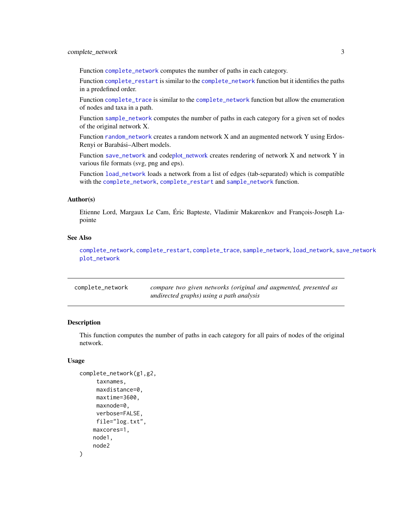<span id="page-2-0"></span>Function [complete\\_network](#page-2-1) computes the number of paths in each category.

Function [complete\\_restart](#page-4-1) is similar to the [complete\\_network](#page-2-1) function but it identifies the paths in a predefined order.

Function [complete\\_trace](#page-6-1) is similar to the [complete\\_network](#page-2-1) function but allow the enumeration of nodes and taxa in a path.

Function [sample\\_network](#page-19-1) computes the number of paths in each category for a given set of nodes of the original network X.

Function [random\\_network](#page-14-1) creates a random network X and an augmented network Y using Erdos-Renyi or Barabási–Albert models.

Function [save\\_network](#page-21-1) and cod[eplot\\_network](#page-14-2) creates rendering of network X and network Y in various file formats (svg, png and eps).

Function [load\\_network](#page-12-1) loads a network from a list of edges (tab-separated) which is compatible with the [complete\\_network](#page-2-1), [complete\\_restart](#page-4-1) and [sample\\_network](#page-19-1) function.

#### Author(s)

Etienne Lord, Margaux Le Cam, Éric Bapteste, Vladimir Makarenkov and François-Joseph Lapointe

#### See Also

[complete\\_network](#page-2-1), [complete\\_restart](#page-4-1), [complete\\_trace](#page-6-1), [sample\\_network](#page-19-1), [load\\_network](#page-12-1), [save\\_network](#page-21-1) [plot\\_network](#page-14-2)

<span id="page-2-1"></span>

| complete_network | compare two given networks (original and augmented, presented as |
|------------------|------------------------------------------------------------------|
|                  | undirected graphs) using a path analysis                         |

#### Description

This function computes the number of paths in each category for all pairs of nodes of the original network.

#### Usage

```
complete_network(g1,g2,
     taxnames,
     maxdistance=0,
     maxtime=3600,
     maxnode=0,
     verbose=FALSE,
     file="log.txt",
    maxcores=1,
    node1,
    node2
)
```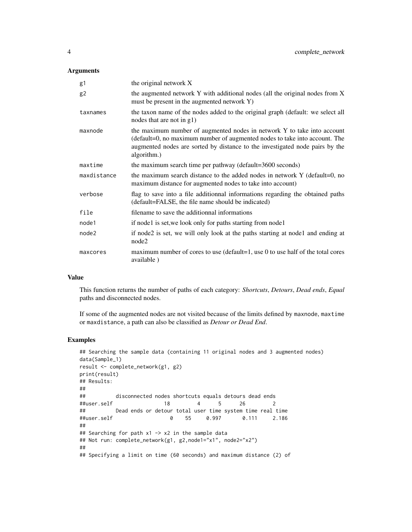#### **Arguments**

| g1          | the original network X                                                                                                                                                                                                                               |
|-------------|------------------------------------------------------------------------------------------------------------------------------------------------------------------------------------------------------------------------------------------------------|
| g2          | the augmented network Y with additional nodes (all the original nodes from X<br>must be present in the augmented network Y)                                                                                                                          |
| taxnames    | the taxon name of the nodes added to the original graph (default: we select all<br>nodes that are not in g1)                                                                                                                                         |
| maxnode     | the maximum number of augmented nodes in network Y to take into account<br>(default=0, no maximum number of augmented nodes to take into account. The<br>augmented nodes are sorted by distance to the investigated node pairs by the<br>algorithm.) |
| maxtime     | the maximum search time per pathway (default=3600 seconds)                                                                                                                                                                                           |
| maxdistance | the maximum search distance to the added nodes in network Y (default=0, no<br>maximum distance for augmented nodes to take into account)                                                                                                             |
| verbose     | flag to save into a file additionnal informations regarding the obtained paths<br>(default=FALSE, the file name should be indicated)                                                                                                                 |
| file        | filename to save the additionnal informations                                                                                                                                                                                                        |
| node1       | if nodel is set, we look only for paths starting from nodel                                                                                                                                                                                          |
| node2       | if node2 is set, we will only look at the paths starting at node1 and ending at<br>node2                                                                                                                                                             |
| maxcores    | maximum number of cores to use (default=1, use 0 to use half of the total cores<br>available)                                                                                                                                                        |

# Value

This function returns the number of paths of each category: *Shortcuts*, *Detours*, *Dead ends*, *Equal* paths and disconnected nodes.

If some of the augmented nodes are not visited because of the limits defined by maxnode, maxtime or maxdistance, a path can also be classified as *Detour or Dead End*.

```
## Searching the sample data (containing 11 original nodes and 3 augmented nodes)
data(Sample_1)
result <- complete_network(g1, g2)
print(result)
## Results:
##
## disconnected nodes shortcuts equals detours dead ends
##user.self 18 4 5 26 2
## Dead ends or detour total user time system time real time
##user.self 0 55 0.997 0.111 2.186
##
## Searching for path x1 -> x2 in the sample data
## Not run: complete_network(g1, g2,node1="x1", node2="x2")
##
## Specifying a limit on time (60 seconds) and maximum distance (2) of
```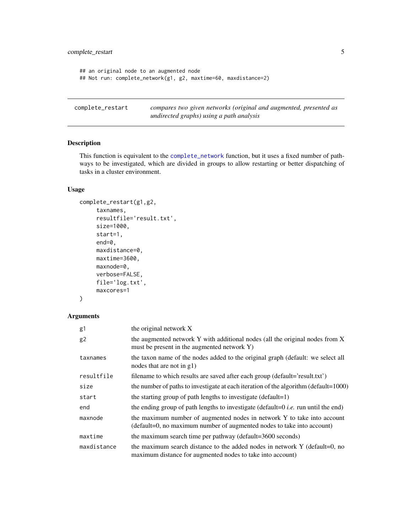```
## an original node to an augmented node
## Not run: complete_network(g1, g2, maxtime=60, maxdistance=2)
```
<span id="page-4-1"></span>complete\_restart *compares two given networks (original and augmented, presented as undirected graphs) using a path analysis*

# Description

This function is equivalent to the [complete\\_network](#page-2-1) function, but it uses a fixed number of pathways to be investigated, which are divided in groups to allow restarting or better dispatching of tasks in a cluster environment.

#### Usage

```
complete_restart(g1,g2,
     taxnames,
     resultfile='result.txt',
     size=1000,
     start=1,
     end=0,
     maxdistance=0,
     maxtime=3600,
     maxnode=0,
     verbose=FALSE,
     file='log.txt',
     maxcores=1
```

```
)
```
# Arguments

| g1          | the original network X                                                                                                                            |
|-------------|---------------------------------------------------------------------------------------------------------------------------------------------------|
| g2          | the augmented network Y with additional nodes (all the original nodes from X<br>must be present in the augmented network Y)                       |
| taxnames    | the taxon name of the nodes added to the original graph (default: we select all<br>nodes that are not in g1)                                      |
| resultfile  | filename to which results are saved after each group (default='result.txt')                                                                       |
| size        | the number of paths to investigate at each iteration of the algorithm (default=1000)                                                              |
| start       | the starting group of path lengths to investigate $(default=1)$                                                                                   |
| end         | the ending group of path lengths to investigate (default=0 <i>i.e.</i> run until the end)                                                         |
| maxnode     | the maximum number of augmented nodes in network Y to take into account<br>(default=0, no maximum number of augmented nodes to take into account) |
| maxtime     | the maximum search time per pathway (default=3600 seconds)                                                                                        |
| maxdistance | the maximum search distance to the added nodes in network Y (default=0, no<br>maximum distance for augmented nodes to take into account)          |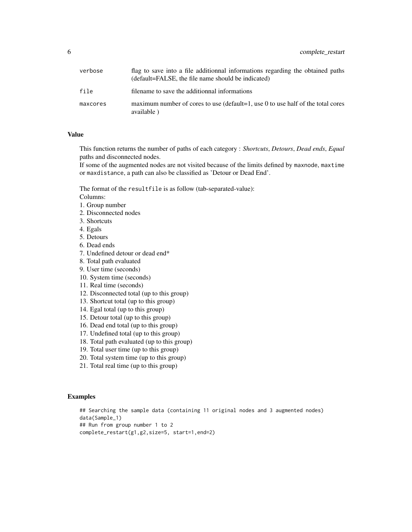| verbose  | flag to save into a file additionnal informations regarding the obtained paths<br>(default=FALSE, the file name should be indicated) |
|----------|--------------------------------------------------------------------------------------------------------------------------------------|
| file     | filename to save the additionnal informations                                                                                        |
| maxcores | maximum number of cores to use (default=1, use 0 to use half of the total cores<br>available)                                        |

# Value

This function returns the number of paths of each category : *Shortcuts*, *Detours*, *Dead ends*, *Equal* paths and disconnected nodes.

If some of the augmented nodes are not visited because of the limits defined by maxnode, maxtime or maxdistance, a path can also be classified as 'Detour or Dead End'.

The format of the resultfile is as follow (tab-separated-value):

Columns:

- 1. Group number
- 2. Disconnected nodes
- 3. Shortcuts
- 4. Egals
- 5. Detours
- 6. Dead ends
- 7. Undefined detour or dead end\*
- 8. Total path evaluated
- 9. User time (seconds)
- 10. System time (seconds)
- 11. Real time (seconds)
- 12. Disconnected total (up to this group)
- 13. Shortcut total (up to this group)
- 14. Egal total (up to this group)
- 15. Detour total (up to this group)
- 16. Dead end total (up to this group)
- 17. Undefined total (up to this group)
- 18. Total path evaluated (up to this group)
- 19. Total user time (up to this group)
- 20. Total system time (up to this group)
- 21. Total real time (up to this group)

#### Examples

## Searching the sample data (containing 11 original nodes and 3 augmented nodes) data(Sample\_1) ## Run from group number 1 to 2 complete\_restart(g1,g2,size=5, start=1,end=2)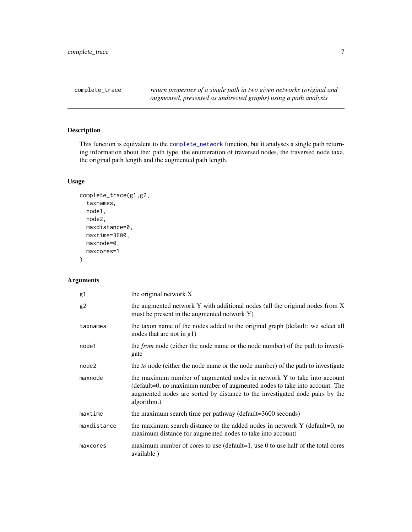<span id="page-6-1"></span><span id="page-6-0"></span>complete\_trace *return properties of a single path in two given networks (original and augmented, presented as undirected graphs) using a path analysis*

# Description

This function is equivalent to the [complete\\_network](#page-2-1) function, but it analyses a single path returning information about the: path type, the enumeration of traversed nodes, the traversed node taxa, the original path length and the augmented path length.

# Usage

```
complete_trace(g1,g2,
  taxnames,
  node1,
  node2,
  maxdistance=0,
  maxtime=3600,
  maxnode=0,
  maxcores=1
\mathcal{E}
```
# Arguments

| g1             | the original network X                                                                                                                                                                                                                               |
|----------------|------------------------------------------------------------------------------------------------------------------------------------------------------------------------------------------------------------------------------------------------------|
| g <sub>2</sub> | the augmented network Y with additional nodes (all the original nodes from X<br>must be present in the augmented network Y)                                                                                                                          |
| taxnames       | the taxon name of the nodes added to the original graph (default: we select all<br>nodes that are not in $g1$ )                                                                                                                                      |
| node1          | the <i>from</i> node (either the node name or the node number) of the path to investi-<br>gate                                                                                                                                                       |
| node2          | the <i>to</i> node (either the node name or the node number) of the path to investigate                                                                                                                                                              |
| maxnode        | the maximum number of augmented nodes in network Y to take into account<br>(default=0, no maximum number of augmented nodes to take into account. The<br>augmented nodes are sorted by distance to the investigated node pairs by the<br>algorithm.) |
| maxtime        | the maximum search time per pathway (default=3600 seconds)                                                                                                                                                                                           |
| maxdistance    | the maximum search distance to the added nodes in network Y (default=0, no<br>maximum distance for augmented nodes to take into account)                                                                                                             |
| maxcores       | maximum number of cores to use (default=1, use 0 to use half of the total cores<br>available)                                                                                                                                                        |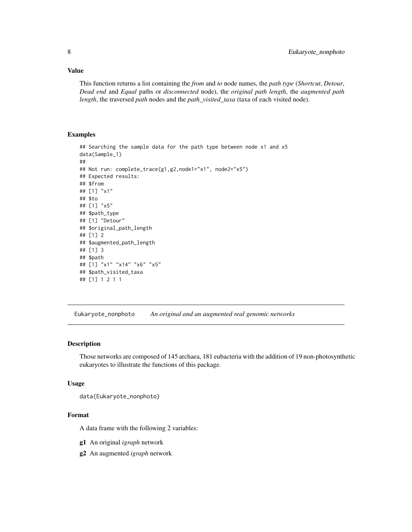## <span id="page-7-0"></span>Value

This function returns a list containing the *from* and *to* node names, the *path type* (*Shortcut*, *Detour*, *Dead end* and *Equal* paths or *disconnected* node), the *original path length*, the *augmented path length*, the traversed *path* nodes and the *path\_visited\_taxa* (taxa of each visited node).

#### Examples

```
## Searching the sample data for the path type between node x1 and x5
data(Sample_1)
##
## Not run: complete_trace(g1,g2,node1="x1", node2="x5")
## Expected results:
## $from
## [1] "x1"
## $to
## [1] "x5"
## $path_type
## [1] "Detour"
## $original_path_length
## [1] 2
## $augmented_path_length
## [1] 3
## $path
## [1] "x1" "x14" "x6" "x5"
## $path_visited_taxa
## [1] 1 2 1 1
```
Eukaryote\_nonphoto *An original and an augmented real genomic networks*

# Description

Those networks are composed of 145 archaea, 181 eubacteria with the addition of 19 non-photosynthetic eukaryotes to illustrate the functions of this package.

#### Usage

data(Eukaryote\_nonphoto)

## Format

A data frame with the following 2 variables:

- g1 An original *igraph* network
- g2 An augmented *igraph* network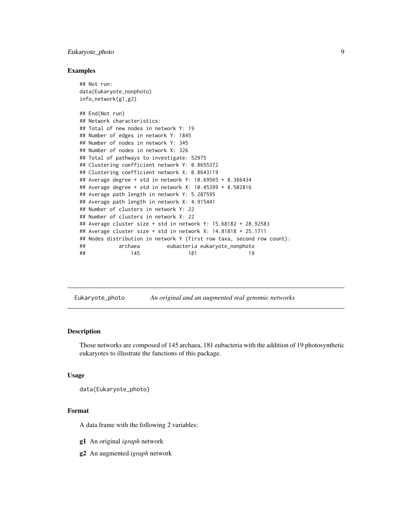# <span id="page-8-0"></span>Eukaryote\_photo 9

#### Examples

```
## Not run:
data(Eukaryote_nonphoto)
info_network(g1,g2)
## End(Not run)
## Network characteristics:
## Total of new nodes in network Y: 19
## Number of edges in network Y: 1845
## Number of nodes in network Y: 345
## Number of nodes in network X: 326
## Total of pathways to investigate: 52975
## Clustering coefficient network Y: 0.8655372
## Clustering coefficient network X: 0.8643119
## Average degree + std in network Y: 10.69565 + 8.366434
## Average degree + std in network X: 10.45399 + 8.502816
## Average path length in network Y: 5.287595
## Average path length in network X: 4.915441
## Number of clusters in network Y: 22
## Number of clusters in network X: 22
## Average cluster size + std in network Y: 15.68182 + 28.92583
## Average cluster size + std in network X: 14.81818 + 25.1711
## Nodes distribution in network Y (first row taxa, second row count):
## archaea eubacteria eukaryote_nonphoto
## 145 181 19
```
Eukaryote\_photo *An original and an augmented real genomic networks*

#### **Description**

Those networks are composed of 145 archaea, 181 eubacteria with the addition of 19 photosynthetic eukaryotes to illustrate the functions of this package.

## Usage

```
data(Eukaryote_photo)
```
#### Format

A data frame with the following 2 variables:

g1 An original *igraph* network

g2 An augmented *igraph* network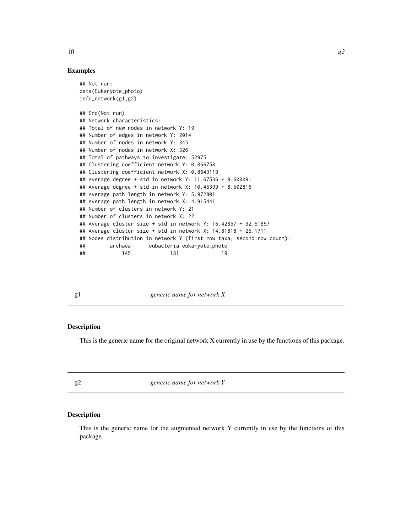#### Examples

```
## Not run:
data(Eukaryote_photo)
info_network(g1,g2)
## End(Not run)
## Network characteristics:
## Total of new nodes in network Y: 19
## Number of edges in network Y: 2014
## Number of nodes in network Y: 345
## Number of nodes in network X: 326
## Total of pathways to investigate: 52975
## Clustering coefficient network Y: 0.866758
## Clustering coefficient network X: 0.8643119
## Average degree + std in network Y: 11.67536 + 9.600091
## Average degree + std in network X: 10.45399 + 8.502816
## Average path length in network Y: 5.972801
## Average path length in network X: 4.915441
## Number of clusters in network Y: 21
## Number of clusters in network X: 22
## Average cluster size + std in network Y: 16.42857 + 32.51857
## Average cluster size + std in network X: 14.81818 + 25.1711
## Nodes distribution in network Y (first row taxa, second row count):
## archaea eubacteria eukaryote_photo
## 145 181 19
```
g1 *generic name for network X*

#### Description

This is the generic name for the original network X currently in use by the functions of this package.

g2 *generic name for network Y*

# Description

This is the generic name for the augmented network Y currently in use by the functions of this package.

<span id="page-9-0"></span>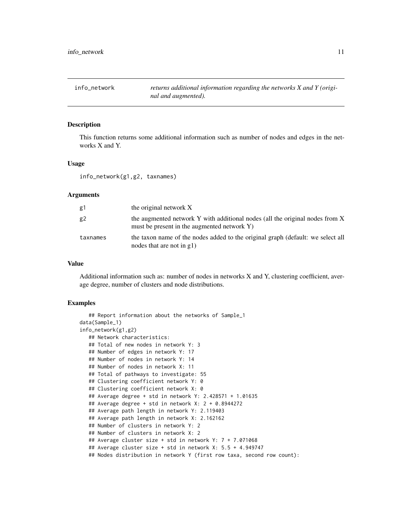<span id="page-10-0"></span>info\_network *returns additional information regarding the networks X and Y (original and augmented).*

# Description

This function returns some additional information such as number of nodes and edges in the networks X and Y.

#### Usage

info\_network(g1,g2, taxnames)

#### Arguments

| g1             | the original network X                                                                                                      |
|----------------|-----------------------------------------------------------------------------------------------------------------------------|
| g <sub>2</sub> | the augmented network Y with additional nodes (all the original nodes from X<br>must be present in the augmented network Y) |
| taxnames       | the taxon name of the nodes added to the original graph (default: we select all<br>nodes that are not in $g1$ )             |

#### Value

Additional information such as: number of nodes in networks X and Y, clustering coefficient, average degree, number of clusters and node distributions.

```
## Report information about the networks of Sample_1
data(Sample_1)
info_network(g1,g2)
  ## Network characteristics:
  ## Total of new nodes in network Y: 3
  ## Number of edges in network Y: 17
  ## Number of nodes in network Y: 14
  ## Number of nodes in network X: 11
  ## Total of pathways to investigate: 55
  ## Clustering coefficient network Y: 0
  ## Clustering coefficient network X: 0
  ## Average degree + std in network Y: 2.428571 + 1.01635
  ## Average degree + std in network X: 2 + 0.8944272
  ## Average path length in network Y: 2.119403
  ## Average path length in network X: 2.162162
  ## Number of clusters in network Y: 2
  ## Number of clusters in network X: 2
  ## Average cluster size + std in network Y: 7 + 7.071068
  ## Average cluster size + std in network X: 5.5 + 4.949747
  ## Nodes distribution in network Y (first row taxa, second row count):
```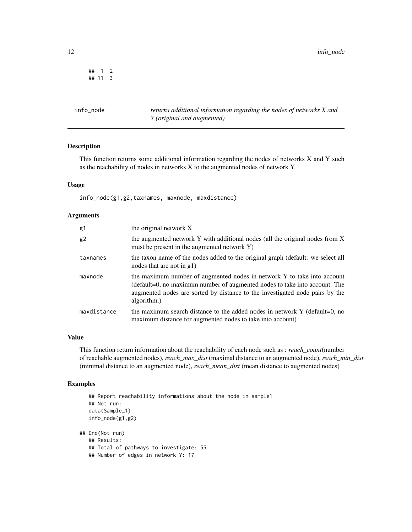<span id="page-11-0"></span>## 1 2 ## 11 3

info\_node *returns additional information regarding the nodes of networks X and Y (original and augmented)*

# Description

This function returns some additional information regarding the nodes of networks X and Y such as the reachability of nodes in networks X to the augmented nodes of network Y.

# Usage

info\_node(g1,g2,taxnames, maxnode, maxdistance)

#### Arguments

| g1          | the original network X                                                                                                                                                                                                                               |
|-------------|------------------------------------------------------------------------------------------------------------------------------------------------------------------------------------------------------------------------------------------------------|
| g2          | the augmented network Y with additional nodes (all the original nodes from X)<br>must be present in the augmented network Y)                                                                                                                         |
| taxnames    | the taxon name of the nodes added to the original graph (default: we select all<br>nodes that are not in g1)                                                                                                                                         |
| maxnode     | the maximum number of augmented nodes in network Y to take into account<br>(default=0, no maximum number of augmented nodes to take into account. The<br>augmented nodes are sorted by distance to the investigated node pairs by the<br>algorithm.) |
| maxdistance | the maximum search distance to the added nodes in network $Y$ (default=0, no<br>maximum distance for augmented nodes to take into account)                                                                                                           |

#### Value

This function return information about the reachability of each node such as : *reach\_count*(number of reachable augmented nodes), *reach\_max\_dist* (maximal distance to an augmented node), *reach\_min\_dist* (minimal distance to an augmented node), *reach\_mean\_dist* (mean distance to augmented nodes)

```
## Report reachability informations about the node in sample1
  ## Not run:
  data(Sample_1)
  info_node(g1,g2)
## End(Not run)
  ## Results:
   ## Total of pathways to investigate: 55
  ## Number of edges in network Y: 17
```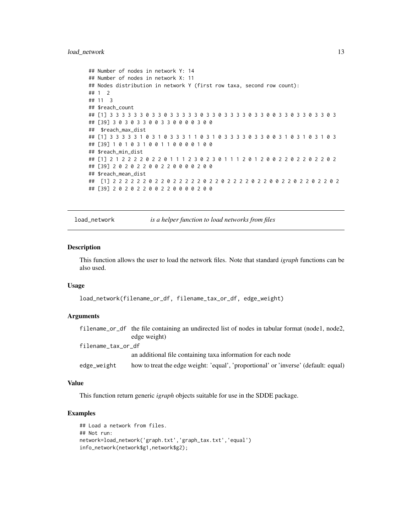#### <span id="page-12-0"></span>load\_network 13

```
## Number of nodes in network Y: 14
## Number of nodes in network X: 11
## Nodes distribution in network Y (first row taxa, second row count):
## 1 2
## 11 3
## $reach_count
## [1] 3 3 3 3 3 3 0 3 3 0 3 3 3 3 3 0 3 3 0 3 3 3 3 0 3 3 0 0 3 3 0 3 3 0 3 3 0 3
## [39] 3 0 3 0 3 3 0 0 3 3 0 0 0 0 3 0 0
## $reach_max_dist
## [1] 3 3 3 3 3 1 0 3 1 0 3 3 3 1 1 0 3 1 0 3 3 3 3 0 3 3 0 0 3 1 0 3 1 0 3 1 0 3
## [39] 1 0 1 0 3 1 0 0 1 1 0 0 0 0 1 0 0
## $reach_min_dist
## [1] 2 1 2 2 2 2 0 2 2 0 1 1 1 2 3 0 2 3 0 1 1 1 2 0 1 2 0 0 2 2 0 2 2 0 2 2 0 2
## [39] 2 0 2 0 2 2 0 0 2 2 0 0 0 0 2 0 0
## $reach_mean_dist
## [1] 2 2 2 2 2 2 0 2 2 0 2 2 2 2 2 0 2 2 0 2 2 2 2 0 2 2 0 0 2 2 0 2 2 0 2 2 0 2
## [39] 2 0 2 0 2 2 0 0 2 2 0 0 0 0 2 0 0
```
<span id="page-12-1"></span>load\_network *is a helper function to load networks from files*

## Description

This function allows the user to load the network files. Note that standard *igraph* functions can be also used.

#### Usage

```
load_network(filename_or_df, filename_tax_or_df, edge_weight)
```
# Arguments

|                    | filename_or_df the file containing an undirected list of nodes in tabular format (node1, node2, |
|--------------------|-------------------------------------------------------------------------------------------------|
|                    | edge weight)                                                                                    |
| filename_tax_or_df |                                                                                                 |
|                    | an additional file containing taxa information for each node                                    |
| edge_weight        | how to treat the edge weight: 'equal', 'proportional' or 'inverse' (default: equal)             |

#### Value

This function return generic *igraph* objects suitable for use in the SDDE package.

```
## Load a network from files.
## Not run:
network=load_network('graph.txt','graph_tax.txt','equal')
info_network(network$g1,network$g2);
```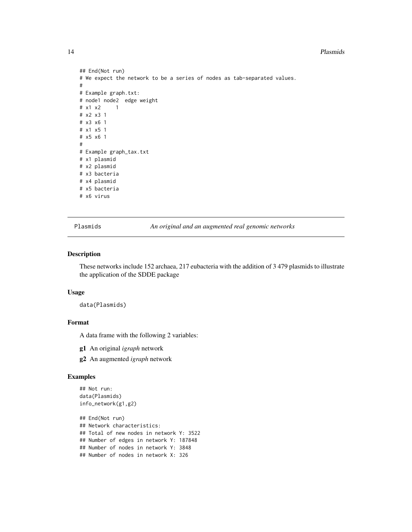#### <span id="page-13-0"></span>14 Plasmids

```
## End(Not run)
# We expect the network to be a series of nodes as tab-separated values.
#
# Example graph.txt:
# node1 node2 edge weight
# x1 x2 1
# x2 x3 1
# x3 x6 1
# x1 x5 1
# x5 x6 1
#
# Example graph_tax.txt
# x1 plasmid
# x2 plasmid
# x3 bacteria
# x4 plasmid
# x5 bacteria
# x6 virus
```
Plasmids *An original and an augmented real genomic networks*

#### Description

These networks include 152 archaea, 217 eubacteria with the addition of 3 479 plasmids to illustrate the application of the SDDE package

#### Usage

data(Plasmids)

#### Format

A data frame with the following 2 variables:

- g1 An original *igraph* network
- g2 An augmented *igraph* network

```
## Not run:
data(Plasmids)
info_network(g1,g2)
```

```
## End(Not run)
## Network characteristics:
## Total of new nodes in network Y: 3522
## Number of edges in network Y: 187848
## Number of nodes in network Y: 3848
## Number of nodes in network X: 326
```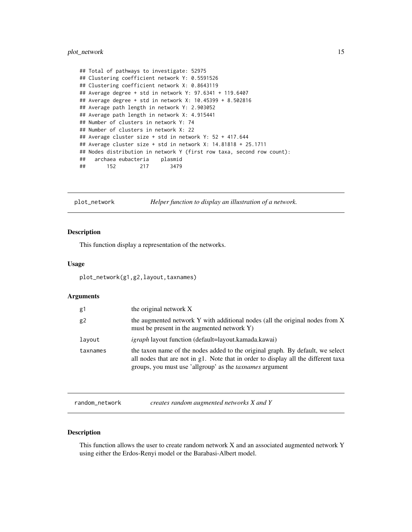# <span id="page-14-0"></span>plot\_network 15

```
## Total of pathways to investigate: 52975
## Clustering coefficient network Y: 0.5591526
## Clustering coefficient network X: 0.8643119
## Average degree + std in network Y: 97.6341 + 119.6407
## Average degree + std in network X: 10.45399 + 8.502816
## Average path length in network Y: 2.903052
## Average path length in network X: 4.915441
## Number of clusters in network Y: 74
## Number of clusters in network X: 22
## Average cluster size + std in network Y: 52 + 417.644
## Average cluster size + std in network X: 14.81818 + 25.1711
## Nodes distribution in network Y (first row taxa, second row count):
## archaea eubacteria plasmid
## 152 217 3479
```
<span id="page-14-2"></span>

plot\_network *Helper function to display an illustration of a network.*

# Description

This function display a representation of the networks.

#### Usage

plot\_network(g1,g2,layout,taxnames)

#### Arguments

| g1       | the original network X                                                                                                                                                                                                                  |
|----------|-----------------------------------------------------------------------------------------------------------------------------------------------------------------------------------------------------------------------------------------|
| g2       | the augmented network Y with additional nodes (all the original nodes from X<br>must be present in the augmented network Y)                                                                                                             |
| layout   | <i>igraph</i> layout function (default=layout.kamada.kawai)                                                                                                                                                                             |
| taxnames | the taxon name of the nodes added to the original graph. By default, we select<br>all nodes that are not in g1. Note that in order to display all the different taxa<br>groups, you must use 'allgroup' as the <i>taxnames</i> argument |

<span id="page-14-1"></span>random\_network *creates random augmented networks X and Y*

# Description

This function allows the user to create random network X and an associated augmented network Y using either the Erdos-Renyi model or the Barabasi-Albert model.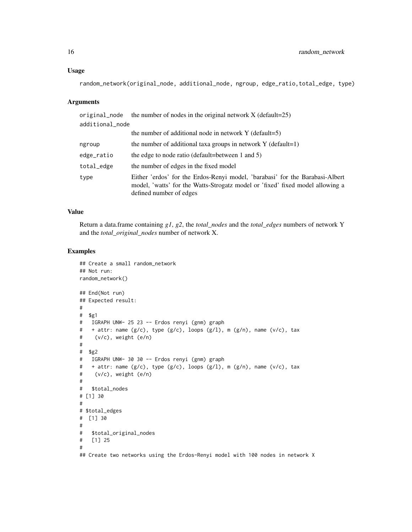#### Usage

```
random_network(original_node, additional_node, ngroup, edge_ratio,total_edge, type)
```
#### Arguments

| original_node   | the number of nodes in the original network $X$ (default=25)                                                                                                                             |
|-----------------|------------------------------------------------------------------------------------------------------------------------------------------------------------------------------------------|
| additional_node |                                                                                                                                                                                          |
|                 | the number of additional node in network $Y$ (default=5)                                                                                                                                 |
| ngroup          | the number of additional taxa groups in network $Y$ (default=1)                                                                                                                          |
| edge_ratio      | the edge to node ratio (default=between 1 and 5)                                                                                                                                         |
| total_edge      | the number of edges in the fixed model                                                                                                                                                   |
| type            | Either 'erdos' for the Erdos-Renyi model, 'barabasi' for the Barabasi-Albert<br>model, 'watts' for the Watts-Strogatz model or 'fixed' fixed model allowing a<br>defined number of edges |

# Value

Return a data.frame containing *g1*, *g2*, the *total\_nodes* and the *total\_edges* numbers of network Y and the *total\_original\_nodes* number of network X.

```
## Create a small random_network
## Not run:
random_network()
## End(Not run)
## Expected result:
#
# $g1
# IGRAPH UNW- 25 23 -- Erdos renyi (gnm) graph
# + attr: name (g/c), type (g/c), loops (g/l), m (g/n), name (v/c), tax
# (v/c), weight (e/n)
#
# $g2
# IGRAPH UNW- 30 30 -- Erdos renyi (gnm) graph
# + attr: name (g/c), type (g/c), loops (g/l), m (g/n), name (v/c), tax
# (v/c), weight (e/n)
#
# $total_nodes
# [1] 30
#
# $total_edges
# [1] 30
#
# $total_original_nodes
# [1] 25
#
## Create two networks using the Erdos-Renyi model with 100 nodes in network X
```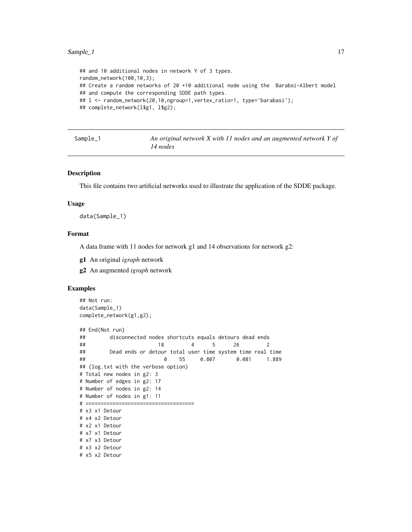#### <span id="page-16-0"></span> $Sample_1$  17

```
## and 10 additional nodes in network Y of 3 types.
random_network(100,10,3);
## Create a random networks of 20 +10 additional node using the Barabsi-Albert model
## and compute the corresponding SDDE path types.
## 1 <- random_network(20,10,ngroup=1,vertex_ratio=1, type='barabasi');
## complete_network(l$g1, l$g2);
```
Sample\_1 *An original network X with 11 nodes and an augmented network Y of 14 nodes*

#### Description

This file contains two artificial networks used to illustrate the application of the SDDE package.

#### Usage

data(Sample\_1)

#### Format

A data frame with 11 nodes for network g1 and 14 observations for network g2:

- g1 An original *igraph* network
- g2 An augmented *igraph* network

```
## Not run:
data(Sample_1)
complete_network(g1,g2);
## End(Not run)
## disconnected nodes shortcuts equals detours dead ends
## 18 4 5 26 2
## Dead ends or detour total user time system time real time
## 0 55 0.807 0.081 1.889
## (log.txt with the verbose option)
# Total new nodes in g2: 3
# Number of edges in g2: 17
# Number of nodes in g2: 14
# Number of nodes in g1: 11
# ====================================
# x3 x1 Detour
# x4 x2 Detour
# x2 x1 Detour
# x7 x1 Detour
# x7 x3 Detour
# x3 x2 Detour
# x5 x2 Detour
```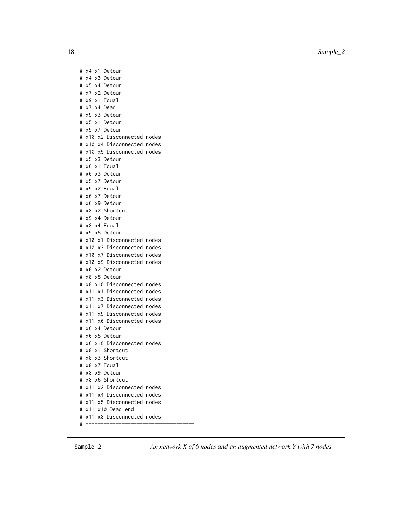18 Sample\_2

# x4 x1 Detour # x4 x3 Detour # x5 x4 Detour # x7 x2 Detour # x9 x1 Equal # x7 x4 Dead # x9 x3 Detour # x5 x1 Detour # x9 x7 Detour # x10 x2 Disconnected nodes # x10 x4 Disconnected nodes # x10 x5 Disconnected nodes # x5 x3 Detour # x6 x1 Equal # x6 x3 Detour # x5 x7 Detour # x9 x2 Equal # x6 x7 Detour # x6 x9 Detour # x8 x2 Shortcut # x9 x4 Detour # x8 x4 Equal # x9 x5 Detour # x10 x1 Disconnected nodes # x10 x3 Disconnected nodes # x10 x7 Disconnected nodes # x10 x9 Disconnected nodes # x6 x2 Detour # x8 x5 Detour # x8 x10 Disconnected nodes # x11 x1 Disconnected nodes # x11 x3 Disconnected nodes # x11 x7 Disconnected nodes # x11 x9 Disconnected nodes # x11 x6 Disconnected nodes # x6 x4 Detour # x6 x5 Detour # x6 x10 Disconnected nodes # x8 x1 Shortcut # x8 x3 Shortcut # x8 x7 Equal # x8 x9 Detour # x8 x6 Shortcut # x11 x2 Disconnected nodes # x11 x4 Disconnected nodes # x11 x5 Disconnected nodes # x11 x10 Dead end # x11 x8 Disconnected nodes

# ====================================

Sample\_2 *An network X of 6 nodes and an augmented network Y with 7 nodes*

<span id="page-17-0"></span>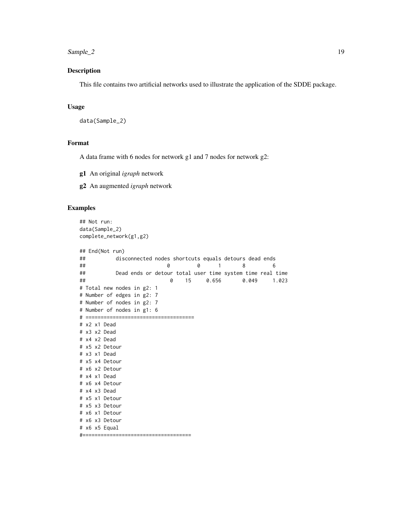#### <span id="page-18-0"></span> $Sample_2$  19

# Description

This file contains two artificial networks used to illustrate the application of the SDDE package.

# Usage

```
data(Sample_2)
```
# Format

A data frame with 6 nodes for network g1 and 7 nodes for network g2:

g1 An original *igraph* network

g2 An augmented *igraph* network

```
## Not run:
data(Sample_2)
complete_network(g1,g2)
## End(Not run)
## disconnected nodes shortcuts equals detours dead ends
## 0 0 1 8 6
## Dead ends or detour total user time system time real time
## 0 15 0.656 0.049 1.023
# Total new nodes in g2: 1
# Number of edges in g2: 7
# Number of nodes in g2: 7
# Number of nodes in g1: 6
# ====================================
# x2 x1 Dead
# x3 x2 Dead
# x4 x2 Dead
# x5 x2 Detour
# x3 x1 Dead
# x5 x4 Detour
# x6 x2 Detour
# x4 x1 Dead
# x6 x4 Detour
# x4 x3 Dead
# x5 x1 Detour
# x5 x3 Detour
# x6 x1 Detour
# x6 x3 Detour
# x6 x5 Equal
#====================================
```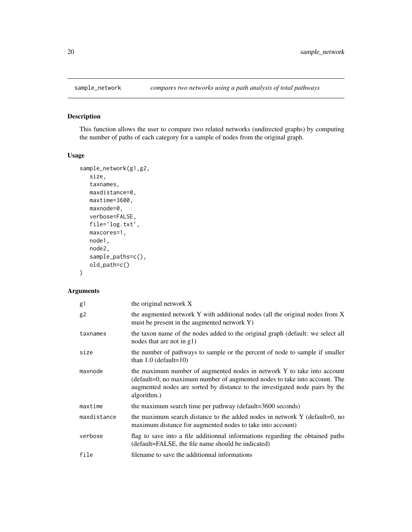<span id="page-19-1"></span><span id="page-19-0"></span>

# Description

This function allows the user to compare two related networks (undirected graphs) by computing the number of paths of each category for a sample of nodes from the original graph.

# Usage

```
sample_network(g1,g2,
   size,
   taxnames,
   maxdistance=0,
   maxtime=3600,
   maxnode=0,
   verbose=FALSE,
   file='log.txt',
   maxcores=1,
   node1,
   node2,
   sample_paths=c(),
   old_path=c()
\mathcal{L}
```
# Arguments

| g1             | the original network X                                                                                                                                                                                                                               |
|----------------|------------------------------------------------------------------------------------------------------------------------------------------------------------------------------------------------------------------------------------------------------|
| g <sub>2</sub> | the augmented network Y with additional nodes (all the original nodes from X<br>must be present in the augmented network Y)                                                                                                                          |
| taxnames       | the taxon name of the nodes added to the original graph (default: we select all<br>nodes that are not in g1)                                                                                                                                         |
| size           | the number of pathways to sample or the percent of node to sample if smaller<br>than $1.0$ (default= $10$ )                                                                                                                                          |
| maxnode        | the maximum number of augmented nodes in network Y to take into account<br>(default=0, no maximum number of augmented nodes to take into account. The<br>augmented nodes are sorted by distance to the investigated node pairs by the<br>algorithm.) |
| maxtime        | the maximum search time per pathway (default=3600 seconds)                                                                                                                                                                                           |
| maxdistance    | the maximum search distance to the added nodes in network Y (default=0, no<br>maximum distance for augmented nodes to take into account)                                                                                                             |
| verbose        | flag to save into a file additionnal informations regarding the obtained paths<br>(default=FALSE, the file name should be indicated)                                                                                                                 |
| file           | filename to save the additionnal informations                                                                                                                                                                                                        |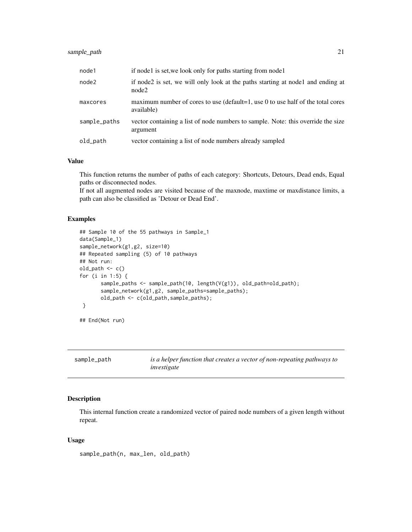# <span id="page-20-0"></span>sample\_path 21

| node1        | if nodel is set, we look only for paths starting from nodel                                     |
|--------------|-------------------------------------------------------------------------------------------------|
| node2        | if node2 is set, we will only look at the paths starting at node1 and ending at<br>node2        |
| maxcores     | maximum number of cores to use (default=1, use $0$ to use half of the total cores<br>available) |
| sample_paths | vector containing a list of node numbers to sample. Note: this override the size<br>argument    |
| old_path     | vector containing a list of node numbers already sampled                                        |

#### Value

This function returns the number of paths of each category: Shortcuts, Detours, Dead ends, Equal paths or disconnected nodes.

If not all augmented nodes are visited because of the maxnode, maxtime or maxdistance limits, a path can also be classified as 'Detour or Dead End'.

# Examples

```
## Sample 10 of the 55 pathways in Sample_1
data(Sample_1)
sample_network(g1,g2, size=10)
## Repeated sampling (5) of 10 pathways
## Not run:
old_path <- c()
for (i in 1:5) {
       sample_paths <- sample_path(10, length(V(g1)), old_path=old_path);
       sample_network(g1,g2, sample_paths=sample_paths);
       old_path <- c(old_path,sample_paths);
 }
## End(Not run)
```

| sample_path | is a helper function that creates a vector of non-repeating pathways to |
|-------------|-------------------------------------------------------------------------|
|             | investigate                                                             |

# Description

This internal function create a randomized vector of paired node numbers of a given length without repeat.

# Usage

sample\_path(n, max\_len, old\_path)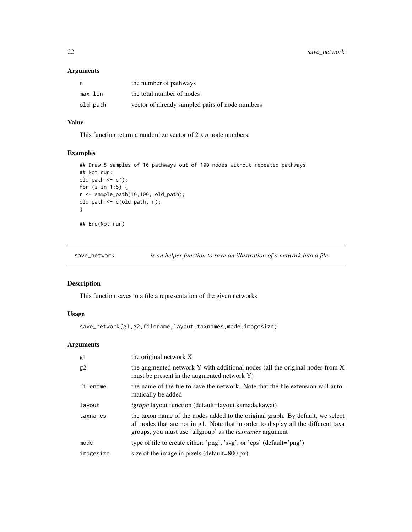<span id="page-21-0"></span>22 save\_network

# Arguments

| n        | the number of pathways                          |
|----------|-------------------------------------------------|
| max_len  | the total number of nodes                       |
| old_path | vector of already sampled pairs of node numbers |

# Value

This function return a randomize vector of 2 x *n* node numbers.

# Examples

```
## Draw 5 samples of 10 pathways out of 100 nodes without repeated pathways
## Not run:
old_path <- c();
for (i in 1:5) {
r <- sample_path(10,100, old_path);
old_path <- c(old_path, r);
}
## End(Not run)
```
<span id="page-21-1"></span>

save\_network *is an helper function to save an illustration of a network into a file*

## Description

This function saves to a file a representation of the given networks

# Usage

save\_network(g1,g2,filename,layout,taxnames,mode,imagesize)

# Arguments

| g1        | the original network X                                                                                                                                                                                                                  |
|-----------|-----------------------------------------------------------------------------------------------------------------------------------------------------------------------------------------------------------------------------------------|
| g2        | the augmented network Y with additional nodes (all the original nodes from X<br>must be present in the augmented network Y)                                                                                                             |
| filename  | the name of the file to save the network. Note that the file extension will auto-<br>matically be added                                                                                                                                 |
| layout    | <i>igraph</i> layout function (default=layout.kamada.kawai)                                                                                                                                                                             |
| taxnames  | the taxon name of the nodes added to the original graph. By default, we select<br>all nodes that are not in g1. Note that in order to display all the different taxa<br>groups, you must use 'allgroup' as the <i>taxnames</i> argument |
| mode      | type of file to create either: 'png', 'svg', or 'eps' (default='png')                                                                                                                                                                   |
| imagesize | size of the image in pixels (default=800 $px$ )                                                                                                                                                                                         |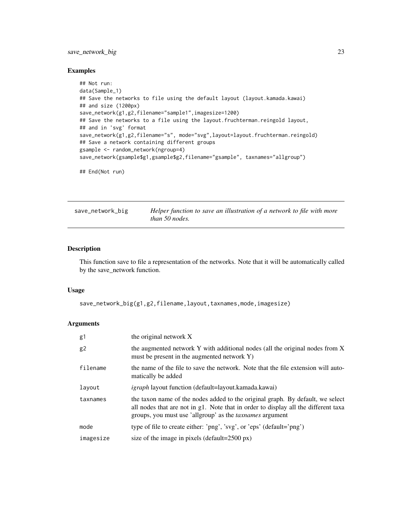# <span id="page-22-0"></span>save\_network\_big 23

#### Examples

```
## Not run:
data(Sample_1)
## Save the networks to file using the default layout (layout.kamada.kawai)
## and size (1200px)
save_network(g1,g2,filename="sample1",imagesize=1200)
## Save the networks to a file using the layout.fruchterman.reingold layout,
## and in 'svg' format
save_network(g1,g2,filename="s", mode="svg",layout=layout.fruchterman.reingold)
## Save a network containing different groups
gsample <- random_network(ngroup=4)
save_network(gsample$g1,gsample$g2,filename="gsample", taxnames="allgroup")
## End(Not run)
```
save\_network\_big *Helper function to save an illustration of a network to file with more than 50 nodes.*

# Description

This function save to file a representation of the networks. Note that it will be automatically called by the save\_network function.

# Usage

save\_network\_big(g1,g2,filename,layout,taxnames,mode,imagesize)

#### Arguments

| g1        | the original network X                                                                                                                                                                                                                  |
|-----------|-----------------------------------------------------------------------------------------------------------------------------------------------------------------------------------------------------------------------------------------|
| g2        | the augmented network Y with additional nodes (all the original nodes from X<br>must be present in the augmented network Y)                                                                                                             |
| filename  | the name of the file to save the network. Note that the file extension will auto-<br>matically be added                                                                                                                                 |
| layout    | <i>igraph</i> layout function (default=layout.kamada.kawai)                                                                                                                                                                             |
| taxnames  | the taxon name of the nodes added to the original graph. By default, we select<br>all nodes that are not in g1. Note that in order to display all the different taxa<br>groups, you must use 'allgroup' as the <i>taxnames</i> argument |
| mode      | type of file to create either: 'png', 'svg', or 'eps' (default='png')                                                                                                                                                                   |
| imagesize | size of the image in pixels (default=2500 px)                                                                                                                                                                                           |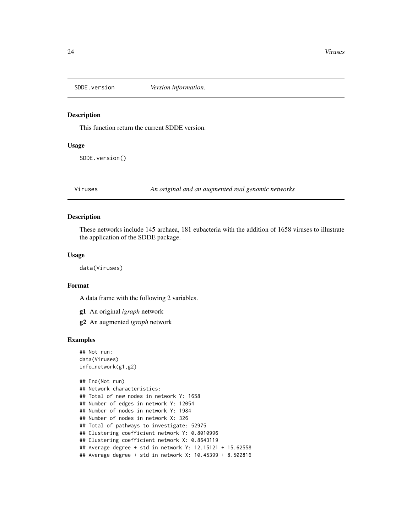<span id="page-23-0"></span>

#### Description

This function return the current SDDE version.

#### Usage

SDDE.version()

Viruses *An original and an augmented real genomic networks*

# Description

These networks include 145 archaea, 181 eubacteria with the addition of 1658 viruses to illustrate the application of the SDDE package.

#### Usage

data(Viruses)

#### Format

A data frame with the following 2 variables.

g1 An original *igraph* network

g2 An augmented *igraph* network

```
## Not run:
data(Viruses)
info_network(g1,g2)
## End(Not run)
## Network characteristics:
## Total of new nodes in network Y: 1658
## Number of edges in network Y: 12054
## Number of nodes in network Y: 1984
## Number of nodes in network X: 326
## Total of pathways to investigate: 52975
## Clustering coefficient network Y: 0.8010996
## Clustering coefficient network X: 0.8643119
## Average degree + std in network Y: 12.15121 + 15.62558
## Average degree + std in network X: 10.45399 + 8.502816
```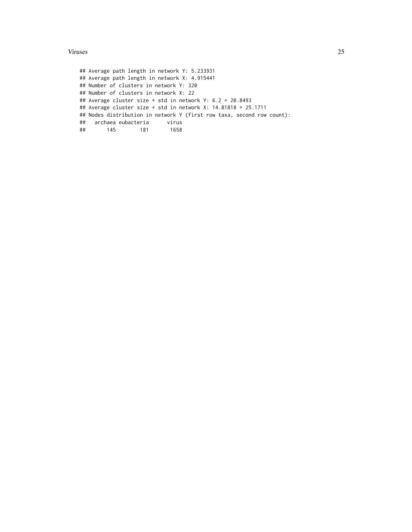#### Viruses 25

## Average path length in network Y: 5.233931 ## Average path length in network X: 4.915441 ## Number of clusters in network Y: 320 ## Number of clusters in network X: 22 ## Average cluster size + std in network Y: 6.2 + 20.8493 ## Average cluster size + std in network X: 14.81818 + 25.1711 ## Nodes distribution in network Y (first row taxa, second row count): ## archaea eubacteria virus ## 145 181 1658